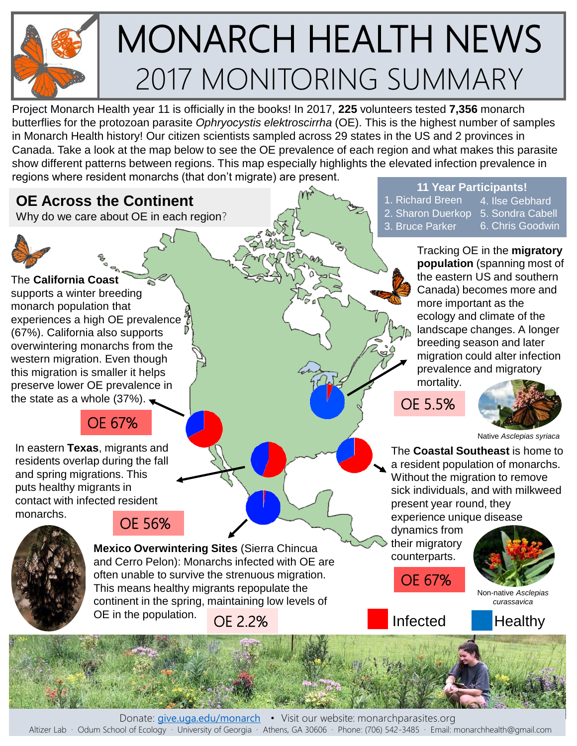

# MONARCH HEALTH NEWS 2017 MONITORING SUMMARY

Project Monarch Health year 11 is officially in the books! In 2017, **225** volunteers tested **7,356** monarch butterflies for the protozoan parasite *Ophryocystis elektroscirrha* (OE). This is the highest number of samples in Monarch Health history! Our citizen scientists sampled across 29 states in the US and 2 provinces in Canada. Take a look at the map below to see the OE prevalence of each region and what makes this parasite show different patterns between regions. This map especially highlights the elevated infection prevalence in regions where resident monarchs (that don't migrate) are present.

## **OE Across the Continent**

Why do we care about OE in each region?



The **California Coast** supports a winter breeding monarch population that experiences a high OE prevalence (67%). California also supports overwintering monarchs from the western migration. Even though this migration is smaller it helps preserve lower OE prevalence in the state as a whole  $(37\%)$ .

## OE 67%

In eastern **Texas**, migrants and residents overlap during the fall and spring migrations. This puts healthy migrants in contact with infected resident monarchs.



## OE 56%

**Mexico Overwintering Sites** (Sierra Chincua and Cerro Pelon): Monarchs infected with OE are often unable to survive the strenuous migration. This means healthy migrants repopulate the continent in the spring, maintaining low levels of OE in the population. OE 2.2% **Infected** Healthy

**11 Year Participants!**

- 1. Richard Breen
- 2. Sharon Duerkop
- 3. Bruce Parker
- 5. Sondra Cabell 6. Chris Goodwin

4. Ilse Gebhard

Tracking OE in the **migratory population** (spanning most of the eastern US and southern Canada) becomes more and more important as the ecology and climate of the landscape changes. A longer breeding season and later migration could alter infection prevalence and migratory mortality.

OE 5.5%



Native *Asclepias syriaca* 

The **Coastal Southeast** is home to a resident population of monarchs. Without the migration to remove sick individuals, and with milkweed present year round, they experience unique disease

dynamics from their migratory counterparts.





Non-native *Asclepias curassavica* 

Altizer Lab · Odum School of Ecology · University of Georgia · Athens, GA 30606 · Phone: (706) 542-3485 · Email: monarchhealth@gmail.com Donate: [give.uga.edu/monarch](http://give.uga.edu/monarch) • Visit our website: monarchparasites.org